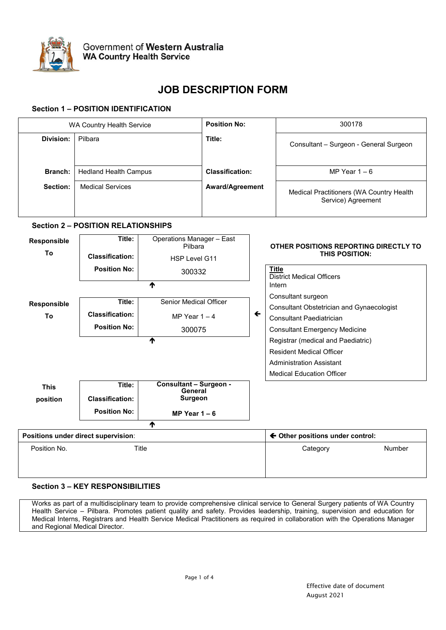

# **JOB DESCRIPTION FORM**

## **Section 1 – POSITION IDENTIFICATION**

| WA Country Health Service           |                                                       | <b>Position No:</b>                      |                        |              | 300178                                |                                                                            |               |  |
|-------------------------------------|-------------------------------------------------------|------------------------------------------|------------------------|--------------|---------------------------------------|----------------------------------------------------------------------------|---------------|--|
| <b>Division:</b>                    | Pilbara                                               |                                          | Title:                 |              |                                       | Consultant - Surgeon - General Surgeon                                     |               |  |
| Branch:                             | <b>Hedland Health Campus</b>                          |                                          | <b>Classification:</b> |              |                                       | MP Year $1 - 6$                                                            |               |  |
| Section:                            | <b>Medical Services</b>                               |                                          | Award/Agreement        |              |                                       | Medical Practitioners (WA Country Health<br>Service) Agreement             |               |  |
|                                     | <b>Section 2 - POSITION RELATIONSHIPS</b>             |                                          |                        |              |                                       |                                                                            |               |  |
| Responsible                         | <b>Operations Manager - East</b><br>Title:<br>Pilbara |                                          |                        |              | OTHER POSITIONS REPORTING DIRECTLY TO |                                                                            |               |  |
| To                                  | <b>Classification:</b>                                | HSP Level G11                            |                        |              |                                       | THIS POSITION:                                                             |               |  |
|                                     | <b>Position No:</b>                                   | 300332                                   |                        |              | <b>Title</b>                          | <b>District Medical Officers</b>                                           |               |  |
|                                     |                                                       | ሳ                                        |                        |              | Intern                                |                                                                            |               |  |
| Responsible                         | Title:                                                | <b>Senior Medical Officer</b>            |                        |              |                                       | Consultant surgeon<br>Consultant Obstetrician and Gynaecologist            |               |  |
| To                                  | <b>Classification:</b>                                | MP Year $1 - 4$                          |                        | $\leftarrow$ |                                       | <b>Consultant Paediatrician</b>                                            |               |  |
|                                     | <b>Position No:</b>                                   | 300075                                   |                        |              |                                       | <b>Consultant Emergency Medicine</b><br>Registrar (medical and Paediatric) |               |  |
|                                     |                                                       | ሳ                                        |                        |              |                                       |                                                                            |               |  |
|                                     |                                                       |                                          |                        |              |                                       | <b>Resident Medical Officer</b>                                            |               |  |
|                                     |                                                       |                                          |                        |              |                                       | <b>Administration Assistant</b>                                            |               |  |
|                                     |                                                       |                                          |                        |              |                                       | <b>Medical Education Officer</b>                                           |               |  |
| <b>This</b>                         | Title:                                                | <b>Consultant - Surgeon -</b><br>General |                        |              |                                       |                                                                            |               |  |
| position                            | <b>Classification:</b>                                | <b>Surgeon</b>                           |                        |              |                                       |                                                                            |               |  |
|                                     | <b>Position No:</b>                                   | MP Year $1 - 6$                          |                        |              |                                       |                                                                            |               |  |
|                                     |                                                       | ሳ                                        |                        |              |                                       |                                                                            |               |  |
| Positions under direct supervision: |                                                       |                                          |                        |              |                                       | ← Other positions under control:                                           |               |  |
| Position No.                        | Title                                                 |                                          |                        |              |                                       | Category                                                                   | <b>Number</b> |  |

## **Section 3 – KEY RESPONSIBILITIES**

Works as part of a multidisciplinary team to provide comprehensive clinical service to General Surgery patients of WA Country Health Service – Pilbara. Promotes patient quality and safety. Provides leadership, training, supervision and education for Medical Interns, Registrars and Health Service Medical Practitioners as required in collaboration with the Operations Manager and Regional Medical Director.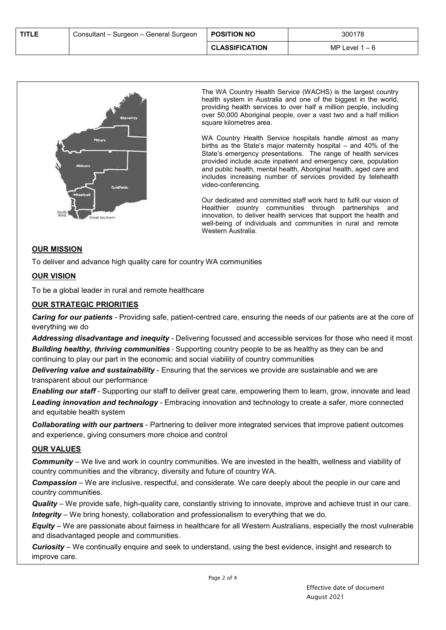| <b>TITLE</b> | Consultant – Surgeon – General Surgeon | <b>POSITION NO</b>    | 300178          |
|--------------|----------------------------------------|-----------------------|-----------------|
|              |                                        | <b>CLASSIFICATION</b> | MP Level 1 $-6$ |



The WA Country Health Service (WACHS) is the largest country health system in Australia and one of the biggest in the world, providing health services to over half a million people, including over 50,000 Aboriginal people, over a vast two and a half million square kilometres area.

WA Country Health Service hospitals handle almost as many births as the State's major maternity hospital – and 40% of the State's emergency presentations. The range of health services provided include acute inpatient and emergency care, population and public health, mental health, Aboriginal health, aged care and includes increasing number of services provided by telehealth video-conferencing.

Our dedicated and committed staff work hard to fulfil our vision of Healthier country communities through partnerships and innovation*,* to deliver health services that support the health and well-being of individuals and communities in rural and remote Western Australia.

## **OUR MISSION**

To deliver and advance high quality care for country WA communities

## **OUR VISION**

To be a global leader in rural and remote healthcare

## **OUR STRATEGIC PRIORITIES**

*Caring for our patients -* Providing safe, patient-centred care, ensuring the needs of our patients are at the core of everything we do

*Addressing disadvantage and inequity -* Delivering focussed and accessible services for those who need it most *Building healthy, thriving communities* - Supporting country people to be as healthy as they can be and continuing to play our part in the economic and social viability of country communities

*Delivering value and sustainability -* Ensuring that the services we provide are sustainable and we are transparent about our performance

*Enabling our staff* - Supporting our staff to deliver great care, empowering them to learn, grow, innovate and lead *Leading innovation and technology* - Embracing innovation and technology to create a safer, more connected and equitable health system

*Collaborating with our partners* - Partnering to deliver more integrated services that improve patient outcomes and experience, giving consumers more choice and control

## **OUR VALUES**

*Community* – We live and work in country communities. We are invested in the health, wellness and viability of country communities and the vibrancy, diversity and future of country WA.

*Compassion* – We are inclusive, respectful, and considerate. We care deeply about the people in our care and country communities.

*Quality* – We provide safe, high-quality care, constantly striving to innovate, improve and achieve trust in our care. *Integrity* – We bring honesty, collaboration and professionalism to everything that we do.

*Equity* – We are passionate about fairness in healthcare for all Western Australians, especially the most vulnerable and disadvantaged people and communities.

*Curiosity* – We continually enquire and seek to understand, using the best evidence, insight and research to improve care.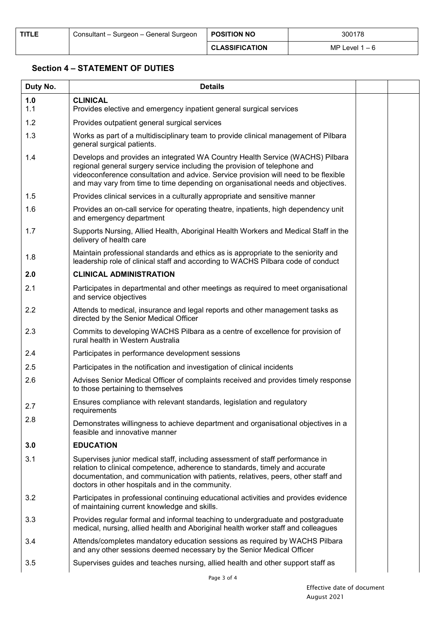## **Section 4 – STATEMENT OF DUTIES**

| Duty No.   | <b>Details</b>                                                                                                                                                                                                                                                                                                                        |  |
|------------|---------------------------------------------------------------------------------------------------------------------------------------------------------------------------------------------------------------------------------------------------------------------------------------------------------------------------------------|--|
| 1.0<br>1.1 | <b>CLINICAL</b><br>Provides elective and emergency inpatient general surgical services                                                                                                                                                                                                                                                |  |
| 1.2        | Provides outpatient general surgical services                                                                                                                                                                                                                                                                                         |  |
| 1.3        | Works as part of a multidisciplinary team to provide clinical management of Pilbara<br>general surgical patients.                                                                                                                                                                                                                     |  |
| 1.4        | Develops and provides an integrated WA Country Health Service (WACHS) Pilbara<br>regional general surgery service including the provision of telephone and<br>videoconference consultation and advice. Service provision will need to be flexible<br>and may vary from time to time depending on organisational needs and objectives. |  |
| 1.5        | Provides clinical services in a culturally appropriate and sensitive manner                                                                                                                                                                                                                                                           |  |
| 1.6        | Provides an on-call service for operating theatre, inpatients, high dependency unit<br>and emergency department                                                                                                                                                                                                                       |  |
| 1.7        | Supports Nursing, Allied Health, Aboriginal Health Workers and Medical Staff in the<br>delivery of health care                                                                                                                                                                                                                        |  |
| 1.8        | Maintain professional standards and ethics as is appropriate to the seniority and<br>leadership role of clinical staff and according to WACHS Pilbara code of conduct                                                                                                                                                                 |  |
| 2.0        | <b>CLINICAL ADMINISTRATION</b>                                                                                                                                                                                                                                                                                                        |  |
| 2.1        | Participates in departmental and other meetings as required to meet organisational<br>and service objectives                                                                                                                                                                                                                          |  |
| 2.2        | Attends to medical, insurance and legal reports and other management tasks as<br>directed by the Senior Medical Officer                                                                                                                                                                                                               |  |
| 2.3        | Commits to developing WACHS Pilbara as a centre of excellence for provision of<br>rural health in Western Australia                                                                                                                                                                                                                   |  |
| 2.4        | Participates in performance development sessions                                                                                                                                                                                                                                                                                      |  |
| 2.5        | Participates in the notification and investigation of clinical incidents                                                                                                                                                                                                                                                              |  |
| 2.6        | Advises Senior Medical Officer of complaints received and provides timely response<br>to those pertaining to themselves                                                                                                                                                                                                               |  |
| 2.7        | Ensures compliance with relevant standards, legislation and regulatory<br>requirements                                                                                                                                                                                                                                                |  |
| 2.8        | Demonstrates willingness to achieve department and organisational objectives in a<br>feasible and innovative manner                                                                                                                                                                                                                   |  |
| 3.0        | <b>EDUCATION</b>                                                                                                                                                                                                                                                                                                                      |  |
| 3.1        | Supervises junior medical staff, including assessment of staff performance in<br>relation to clinical competence, adherence to standards, timely and accurate<br>documentation, and communication with patients, relatives, peers, other staff and<br>doctors in other hospitals and in the community.                                |  |
| 3.2        | Participates in professional continuing educational activities and provides evidence<br>of maintaining current knowledge and skills.                                                                                                                                                                                                  |  |
| 3.3        | Provides regular formal and informal teaching to undergraduate and postgraduate<br>medical, nursing, allied health and Aboriginal health worker staff and colleagues                                                                                                                                                                  |  |
| 3.4        | Attends/completes mandatory education sessions as required by WACHS Pilbara<br>and any other sessions deemed necessary by the Senior Medical Officer                                                                                                                                                                                  |  |
| 3.5        | Supervises guides and teaches nursing, allied health and other support staff as                                                                                                                                                                                                                                                       |  |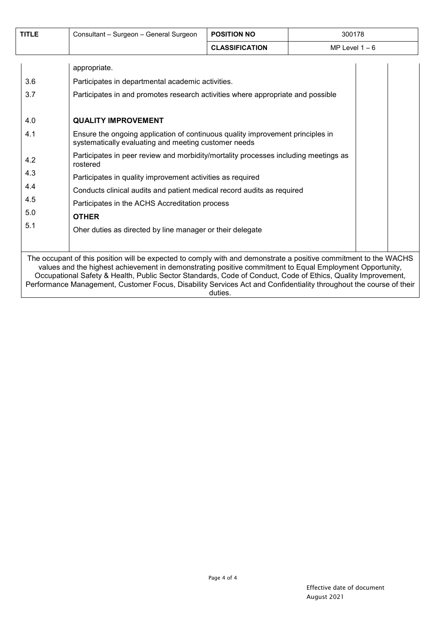| <b>TITLE</b>                                                                                                                                                                                                                                                                                                                                                                                                                                                                  | Consultant - Surgeon - General Surgeon                                                                                                                                                                                                                                                                                                                                                                                                                                                                                                                                                                                                                                                                 | <b>POSITION NO</b>    | 300178         |  |  |
|-------------------------------------------------------------------------------------------------------------------------------------------------------------------------------------------------------------------------------------------------------------------------------------------------------------------------------------------------------------------------------------------------------------------------------------------------------------------------------|--------------------------------------------------------------------------------------------------------------------------------------------------------------------------------------------------------------------------------------------------------------------------------------------------------------------------------------------------------------------------------------------------------------------------------------------------------------------------------------------------------------------------------------------------------------------------------------------------------------------------------------------------------------------------------------------------------|-----------------------|----------------|--|--|
|                                                                                                                                                                                                                                                                                                                                                                                                                                                                               |                                                                                                                                                                                                                                                                                                                                                                                                                                                                                                                                                                                                                                                                                                        | <b>CLASSIFICATION</b> | MP Level $1-6$ |  |  |
| 3.6<br>3.7<br>4.0<br>4.1<br>4.2<br>4.3<br>4.4<br>4.5<br>5.0<br>5.1                                                                                                                                                                                                                                                                                                                                                                                                            | appropriate.<br>Participates in departmental academic activities.<br>Participates in and promotes research activities where appropriate and possible<br><b>QUALITY IMPROVEMENT</b><br>Ensure the ongoing application of continuous quality improvement principles in<br>systematically evaluating and meeting customer needs<br>Participates in peer review and morbidity/mortality processes including meetings as<br>rostered<br>Participates in quality improvement activities as required<br>Conducts clinical audits and patient medical record audits as required<br>Participates in the ACHS Accreditation process<br><b>OTHER</b><br>Oher duties as directed by line manager or their delegate |                       |                |  |  |
| The occupant of this position will be expected to comply with and demonstrate a positive commitment to the WACHS<br>values and the highest achievement in demonstrating positive commitment to Equal Employment Opportunity,<br>Occupational Safety & Health, Public Sector Standards, Code of Conduct, Code of Ethics, Quality Improvement,<br>Performance Management, Customer Focus, Disability Services Act and Confidentiality throughout the course of their<br>duties. |                                                                                                                                                                                                                                                                                                                                                                                                                                                                                                                                                                                                                                                                                                        |                       |                |  |  |